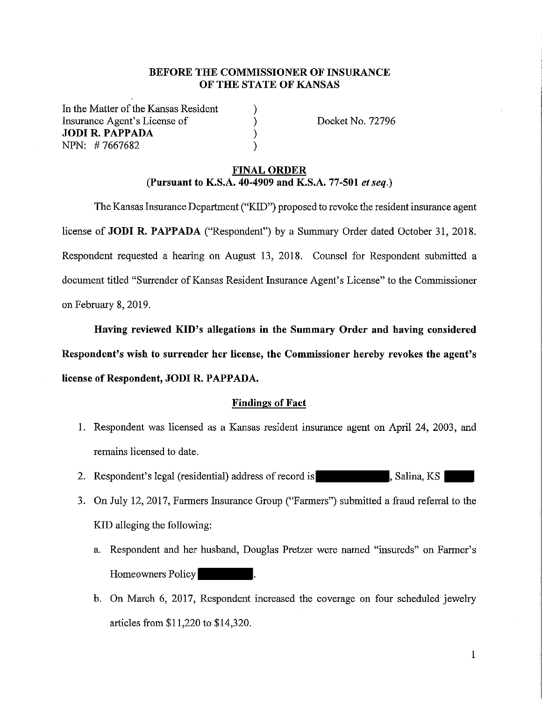# **BEFORE THE COMMISSIONER OF INSURANCE OF THE STATE OF KANSAS**

) ) ) )

In the Matter of the Kansas Resident Insurance Agent's License of **JODI R. PAPPADA** NPN: # 7667682

Docket No. 72796

## **FINAL ORDER (Pursuant to K.S.A. 40-4909 and K.S.A. 77-501** *et seq.)*

The Kansas Insurance Department ("KID") proposed to revoke the resident insurance agent license of **JODI R. PAPPADA** ("Respondent") by a Summary Order dated October 31, 2018. Respondent requested a hearing on August 13, 2018. Counsel for Respondent submitted a document titled "Surrender of Kansas Resident Insurance Agent's License" to the Commissioner on February 8, 2019.

**Having reviewed KID's allegations in the Summary Order and having considered Respondent's wish to surrender her license, the Commissioner hereby revokes the agent's**  license of Respondent, **JODI R. PAPPADA.** 

### **Findings of Fact**

- 1. Respondent was licensed as a Kansas resident insurance agent on April 24, 2003, and remains licensed to date.
- 2. Respondent's legal (residential) address of record is subseteed , Salina, KS
- 3. On July 12, 2017, Farmers Insurance Group ("Farmers") submitted a fraud referral to the KID alleging the following:
	- a. Respondent and her husband, Douglas Pretzer were named "insureds" on Farmer's Homeowners Policy .
	- b. On March 6, 2017, Respondent increased the coverage on four scheduled jewelry articles from \$11,220 to \$14,320.

1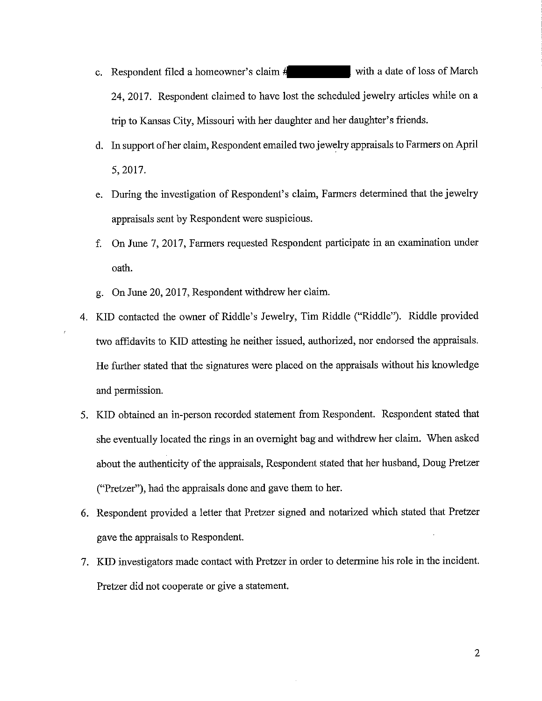- c. Respondent filed a homeowner's claim # with a date of loss of March 24, 2017. Respondent claimed to have lost the scheduled jewelry articles while on a trip to Kansas City, Missouri with her daughter and her daughter's friends.
- d. In support of her claim, Respondent emailed two jewelry appraisals to Farmers on April 5,2017.
- e. During the investigation of Respondent's claim, Farmers determined that the jewelry appraisals sent by Respondent were suspicious.
- f. On June 7, 2017, Farmers requested Respondent participate in an examination under oath.
- g. On June 20, 2017, Respondent withdrew her claim.
- 4. KID contacted the owner of Riddle's Jewelry, Tim Riddle ("Riddle"). Riddle provided two affidavits to KID attesting he neither issued, authorized, nor endorsed the appraisals. He further stated that the signatures were placed on the appraisals without his knowledge and permission.
- 5. KID obtained an in-person recorded statement from Respondent. Respondent stated that she eventually located the rings in an overnight bag and withdrew her claim. When asked about the authenticity of the appraisals, Respondent stated that her husband, Doug Pretzer ("Pretzer"), had the appraisals done and gave them to her.
- 6. Respondent provided a letter that Pretzer signed and notarized which stated that Pretzer gave the appraisals to Respondent.
- 7. **KID** investigators made contact with Pretzer in order to determine his role in the incident. Pretzer did not cooperate or give a statement.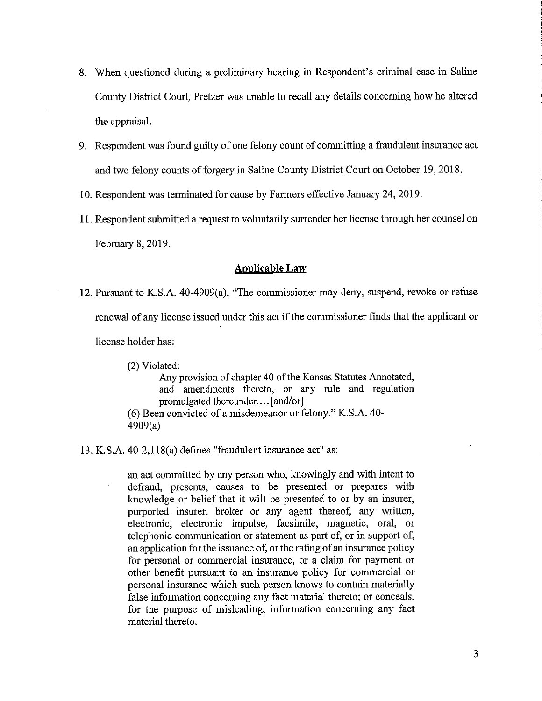- 8. When questioned during a preliminary hearing in Respondent's criminal case in Saline County District Court, Pretzer was unable to recall any details concerning how he altered the appraisal.
- 9. Respondent was found guilty of one felony count of committing a fraudulent insurance act and two felony counts of forgery in Saline County District Court on October 19, 2018.
- 10. Respondent was terminated for cause by Farmers effective January 24, 2019.
- 11. Respondent submitted a request to voluntarily surrender her license through her counsel on February 8, 2019.

## **Applicable Law**

12. Pursuant to K.S.A. 40-4909(a), "The commissioner may deny, suspend, revoke or refuse renewal of any license issued under this act if the commissioner finds that the applicant or license holder has:

(2) Violated:

Any provision of chapter 40 of the Kansas Statutes Annotated, and amendments thereto, or any rule and regulation promulgated thereunder .... [and/or]

(6) Been convicted of a misdemeanor or felony." K.S.A. 40- 4909(a)

13. K.S.A. 40-2,l 18(a) defines "fraudulent insurance act" as:

an act committed by any person who, knowingly and with intent to defraud, presents, causes to be presented or prepares with knowledge or belief that it will be presented to or by an insurer, purported insurer, broker or any agent thereof, any written, electronic, electronic impulse, facsimile, magnetic, oral, or telephonic communication or statement as part of, or in support of, an application for the issuance of, or the rating of an insurance policy for personal or commercial insurance, or a claim for payment or other benefit pursuant to an insurance policy for commercial or personal insurance which such person knows to contain materially false information concerning any fact material thereto; or conceals, for the purpose of misleading, information concerning any fact material thereto.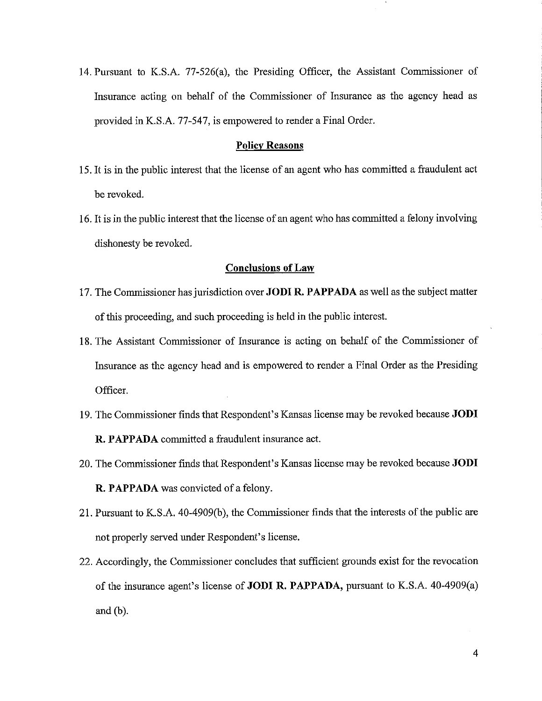14. Pursuant to K.S.A. 77-526(a), the Presiding Officer, the Assistant Commissioner of Insurance acting on behalf of the Commissioner of Insurance as the agency head as provided in K.S.A. 77-547, is empowered to render a Final Order.

### **Policy Reasons**

- 15. It is in the public interest that the license of an agent who has committed a fraudulent act be revoked.
- 16. It is in the public interest that the license of an agent who has committed a felony involving dishonesty be revoked.

#### **Conclusions of Law**

- 17. The Commissioner has jurisdiction over **JODI R. PAPP ADA** as well as the subject matter of this proceeding, and such proceeding is held in the public interest.
- 18. The Assistant Commissioner of Insurance is acting on behalf of the Commissioner of Insurance as the agency head and is empowered to render a Final Order as the Presiding Officer.
- 19. The Commissioner finds that Respondent's Kansas license may be revoked because **JODI R. PAPP ADA** committed a fraudulent insurance act.
- 20. The Commissioner finds that Respondent's Kansas license may be revoked because **JODI R. PAPPADA** was convicted of a felony.
- 21. Pursuant to K.S.A. 40-4909(b), the Commissioner finds that the interests of the public are not properly served under Respondent's license.
- 22. Accordingly, the Commissioner concludes that sufficient grounds exist for the revocation of the insurance agent's license of **JODI R. PAPP ADA,** pursuant to K.S.A. 40-4909(a) and (b).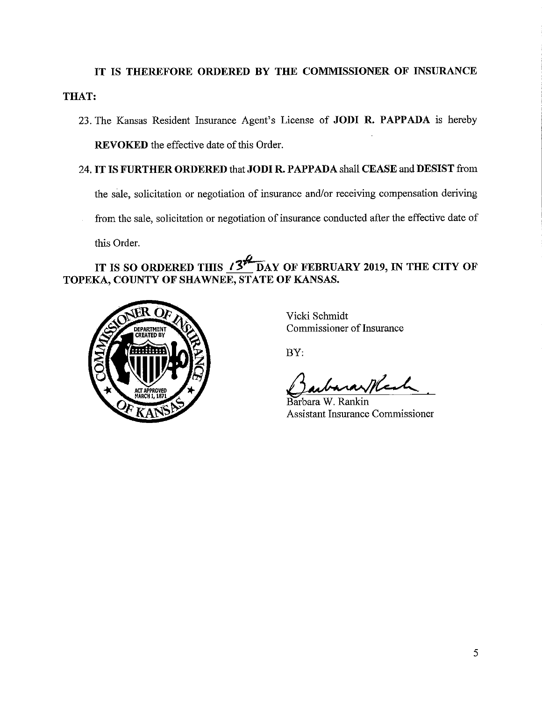# **IT IS THEREFORE ORDERED BY THE COMMISSIONER OF INSURANCE THAT:**

23. The Kansas Resident Insurance Agent's License of **JODI R. PAPPADA** is hereby **REVOKED** the effective date of this Order.

# 24. **IT IS FURTHER ORDERED** that **JODI R. PAPP ADA** shall **CEASE** and **DESIST** from

the sale, solicitation or negotiation of insurance and/or receiving compensation deriving

from the sale, solicitation or negotiation of insurance conducted after the effective date of

this Order.

# IT IS SO ORDERED THIS *i*<sup>27</sup>. DAY OF FEBRUARY 2019, IN THE CITY OF **TOPEKA, COUNTY OF SHAWNEE, STATE OF KANSAS.**



Vicki Schmidt Commissioner of Insurance

BY:

Vicki Schmidt<br>Commissioner of Insurance<br>BY:<br>Barbara W. Rankin<br>Assistant Insurance Commissioner

Barbara Assistant Insurance Commissioner